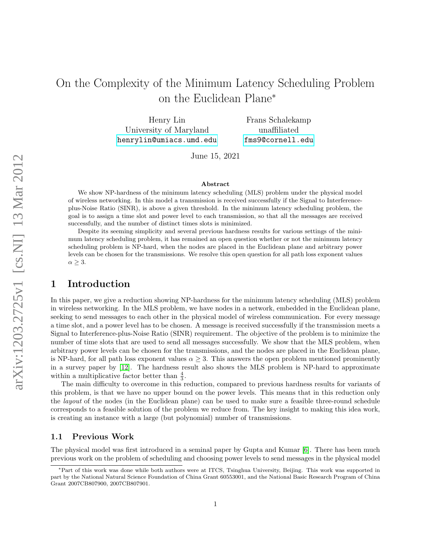# On the Complexity of the Minimum Latency Scheduling Problem on the Euclidean Plane<sup>∗</sup>

Henry Lin University of Maryland <henrylin@umiacs.umd.edu>

Frans Schalekamp unaffiliated <fms9@cornell.edu>

June 15, 2021

#### Abstract

We show NP-hardness of the minimum latency scheduling (MLS) problem under the physical model of wireless networking. In this model a transmission is received successfully if the Signal to Interferenceplus-Noise Ratio (SINR), is above a given threshold. In the minimum latency scheduling problem, the goal is to assign a time slot and power level to each transmission, so that all the messages are received successfully, and the number of distinct times slots is minimized.

Despite its seeming simplicity and several previous hardness results for various settings of the minimum latency scheduling problem, it has remained an open question whether or not the minimum latency scheduling problem is NP-hard, when the nodes are placed in the Euclidean plane and arbitrary power levels can be chosen for the transmissions. We resolve this open question for all path loss exponent values  $\alpha \geq 3$ .

## 1 Introduction

In this paper, we give a reduction showing NP-hardness for the minimum latency scheduling (MLS) problem in wireless networking. In the MLS problem, we have nodes in a network, embedded in the Euclidean plane, seeking to send messages to each other in the physical model of wireless communication. For every message a time slot, and a power level has to be chosen. A message is received successfully if the transmission meets a Signal to Interference-plus-Noise Ratio (SINR) requirement. The objective of the problem is to minimize the number of time slots that are used to send all messages successfully. We show that the MLS problem, when arbitrary power levels can be chosen for the transmissions, and the nodes are placed in the Euclidean plane, is NP-hard, for all path loss exponent values  $\alpha \geq 3$ . This answers the open problem mentioned prominently in a survey paper by [\[12\]](#page-8-0). The hardness result also shows the MLS problem is NP-hard to approximate within a multiplicative factor better than  $\frac{4}{3}$ .

The main difficulty to overcome in this reduction, compared to previous hardness results for variants of this problem, is that we have no upper bound on the power levels. This means that in this reduction only the layout of the nodes (in the Euclidean plane) can be used to make sure a feasible three-round schedule corresponds to a feasible solution of the problem we reduce from. The key insight to making this idea work, is creating an instance with a large (but polynomial) number of transmissions.

### 1.1 Previous Work

The physical model was first introduced in a seminal paper by Gupta and Kumar [\[6\]](#page-8-1). There has been much previous work on the problem of scheduling and choosing power levels to send messages in the physical model

<sup>∗</sup>Part of this work was done while both authors were at ITCS, Tsinghua University, Beijing. This work was supported in part by the National Natural Science Foundation of China Grant 60553001, and the National Basic Research Program of China Grant 2007CB807900, 2007CB807901.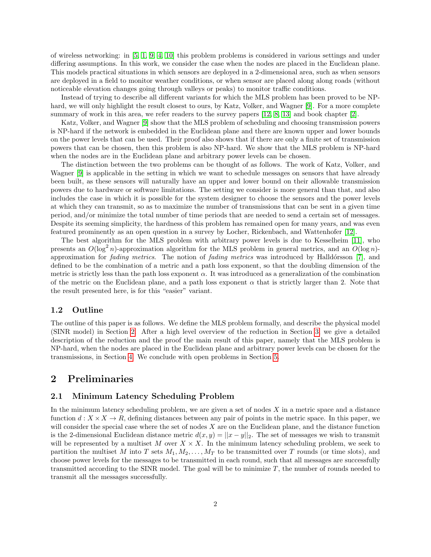of wireless networking: in [\[5,](#page-8-2) [1,](#page-8-3) [9,](#page-8-4) [4,](#page-8-5) [10\]](#page-8-6) this problem problems is considered in various settings and under differing assumptions. In this work, we consider the case when the nodes are placed in the Euclidean plane. This models practical situations in which sensors are deployed in a 2-dimensional area, such as when sensors are deployed in a field to monitor weather conditions, or when sensor are placed along along roads (without noticeable elevation changes going through valleys or peaks) to monitor traffic conditions.

Instead of trying to describe all different variants for which the MLS problem has been proved to be NP-hard, we will only highlight the result closest to ours, by Katz, Volker, and Wagner [\[9\]](#page-8-4). For a more complete summary of work in this area, we refer readers to the survey papers [\[12,](#page-8-0) [8,](#page-8-7) [13\]](#page-8-8) and book chapter [\[2\]](#page-8-9).

Katz, Volker, and Wagner [\[9\]](#page-8-4) show that the MLS problem of scheduling and choosing transmission powers is NP-hard if the network is embedded in the Euclidean plane and there are known upper and lower bounds on the power levels that can be used. Their proof also shows that if there are only a finite set of transmission powers that can be chosen, then this problem is also NP-hard. We show that the MLS problem is NP-hard when the nodes are in the Euclidean plane and arbitrary power levels can be chosen.

The distinction between the two problems can be thought of as follows. The work of Katz, Volker, and Wagner [\[9\]](#page-8-4) is applicable in the setting in which we want to schedule messages on sensors that have already been built, as these sensors will naturally have an upper and lower bound on their allowable transmission powers due to hardware or software limitations. The setting we consider is more general than that, and also includes the case in which it is possible for the system designer to choose the sensors and the power levels at which they can transmit, so as to maximize the number of transmissions that can be sent in a given time period, and/or minimize the total number of time periods that are needed to send a certain set of messages. Despite its seeming simplicity, the hardness of this problem has remained open for many years, and was even featured prominently as an open question in a survey by Locher, Rickenbach, and Wattenhofer [\[12\]](#page-8-0).

The best algorithm for the MLS problem with arbitrary power levels is due to Kesselheim [\[11\]](#page-8-10), who presents an  $O(\log^2 n)$ -approximation algorithm for the MLS problem in general metrics, and an  $O(\log n)$ approximation for *fading metrics*. The notion of *fading metrics* was introduced by Halldórsson [\[7\]](#page-8-11), and defined to be the combination of a metric and a path loss exponent, so that the doubling dimension of the metric is strictly less than the path loss exponent  $\alpha$ . It was introduced as a generalization of the combination of the metric on the Euclidean plane, and a path loss exponent  $\alpha$  that is strictly larger than 2. Note that the result presented here, is for this "easier" variant.

#### 1.2 Outline

The outline of this paper is as follows. We define the MLS problem formally, and describe the physical model (SINR model) in Section [2.](#page-1-0) After a high level overview of the reduction in Section [3,](#page-2-0) we give a detailed description of the reduction and the proof the main result of this paper, namely that the MLS problem is NP-hard, when the nodes are placed in the Euclidean plane and arbitrary power levels can be chosen for the transmissions, in Section [4.](#page-3-0) We conclude with open problems in Section [5.](#page-7-0)

### <span id="page-1-0"></span>2 Preliminaries

#### 2.1 Minimum Latency Scheduling Problem

In the minimum latency scheduling problem, we are given a set of nodes  $X$  in a metric space and a distance function  $d: X \times X \to R$ , defining distances between any pair of points in the metric space. In this paper, we will consider the special case where the set of nodes X are on the Euclidean plane, and the distance function is the 2-dimensional Euclidean distance metric  $d(x, y) = ||x - y||_2$ . The set of messages we wish to transmit will be represented by a multiset M over  $X \times X$ . In the minimum latency scheduling problem, we seek to partition the multiset M into T sets  $M_1, M_2, \ldots, M_T$  to be transmitted over T rounds (or time slots), and choose power levels for the messages to be transmitted in each round, such that all messages are successfully transmitted according to the SINR model. The goal will be to minimize  $T$ , the number of rounds needed to transmit all the messages successfully.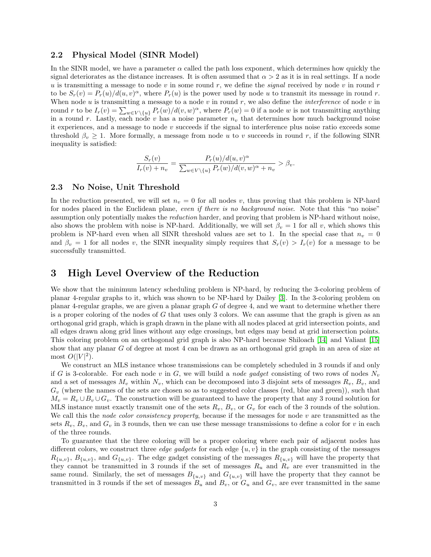#### 2.2 Physical Model (SINR Model)

In the SINR model, we have a parameter  $\alpha$  called the path loss exponent, which determines how quickly the signal deteriorates as the distance increases. It is often assumed that  $\alpha > 2$  as it is in real settings. If a node u is transmitting a message to node v in some round r, we define the *signal* received by node v in round r to be  $S_r(v) = P_r(u)/d(u, v)^\alpha$ , where  $P_r(u)$  is the power used by node u to transmit its message in round r. When node u is transmitting a message to a node v in round r, we also define the *interference* of node v in round r to be  $I_r(v) = \sum_{w \in V \setminus \{u\}} P_r(w) / d(v, w)^\alpha$ , where  $P_r(w) = 0$  if a node w is not transmitting anything in a round r. Lastly, each node v has a noise parameter  $n<sub>v</sub>$  that determines how much background noise it experiences, and a message to node  $v$  succeeds if the signal to interference plus noise ratio exceeds some threshold  $\beta_v \geq 1$ . More formally, a message from node u to v succeeds in round r, if the following SINR inequality is satisfied:

$$
\frac{S_r(v)}{I_r(v)+n_v} = \frac{P_r(u)/d(u,v)^{\alpha}}{\sum_{w \in V \setminus \{u\}} P_r(w)/d(v,w)^{\alpha}+n_v} > \beta_v.
$$

### 2.3 No Noise, Unit Threshold

In the reduction presented, we will set  $n_v = 0$  for all nodes v, thus proving that this problem is NP-hard for nodes placed in the Euclidean plane, even if there is no background noise. Note that this "no noise" assumption only potentially makes the reduction harder, and proving that problem is NP-hard without noise, also shows the problem with noise is NP-hard. Additionally, we will set  $\beta_v = 1$  for all v, which shows this problem is NP-hard even when all SINR threshold values are set to 1. In the special case that  $n_v = 0$ and  $\beta_v = 1$  for all nodes v, the SINR inequality simply requires that  $S_r(v) > I_r(v)$  for a message to be successfully transmitted.

### <span id="page-2-0"></span>3 High Level Overview of the Reduction

We show that the minimum latency scheduling problem is NP-hard, by reducing the 3-coloring problem of planar 4-regular graphs to it, which was shown to be NP-hard by Dailey [\[3\]](#page-8-12). In the 3-coloring problem on planar 4-regular graphs, we are given a planar graph  $G$  of degree 4, and we want to determine whether there is a proper coloring of the nodes of G that uses only 3 colors. We can assume that the graph is given as an orthogonal grid graph, which is graph drawn in the plane with all nodes placed at grid intersection points, and all edges drawn along grid lines without any edge crossings, but edges may bend at grid intersection points. This coloring problem on an orthogonal grid graph is also NP-hard because Shiloach [\[14\]](#page-8-13) and Valiant [\[15\]](#page-8-14) show that any planar G of degree at most 4 can be drawn as an orthogonal grid graph in an area of size at most  $O(|V|^2)$ .

We construct an MLS instance whose transmissions can be completely scheduled in 3 rounds if and only if G is 3-colorable. For each node v in G, we will build a node gadget consisting of two rows of nodes  $N_v$ and a set of messages  $M_v$  within  $N_v$ , which can be decomposed into 3 disjoint sets of messages  $R_v$ ,  $B_v$ , and  $G_v$  (where the names of the sets are chosen so as to suggested color classes (red, blue and green)), such that  $M_v = R_v \cup B_v \cup G_v$ . The construction will be guaranteed to have the property that any 3 round solution for MLS instance must exactly transmit one of the sets  $R_v$ ,  $B_v$ , or  $G_v$  for each of the 3 rounds of the solution. We call this the *node color consistency property*, because if the messages for node  $v$  are transmitted as the sets  $R_v$ ,  $B_v$ , and  $G_v$  in 3 rounds, then we can use these message transmissions to define a color for v in each of the three rounds.

To guarantee that the three coloring will be a proper coloring where each pair of adjacent nodes has different colors, we construct three *edge gadgets* for each edge  $\{u, v\}$  in the graph consisting of the messages  $R_{\{u,v\}}$ ,  $B_{\{u,v\}}$ , and  $G_{\{u,v\}}$ . The edge gadget consisting of the messages  $R_{\{u,v\}}$  will have the property that they cannot be transmitted in 3 rounds if the set of messages  $R_u$  and  $R_v$  are ever transmitted in the same round. Similarly, the set of messages  $B_{\{u,v\}}$  and  $G_{\{u,v\}}$  will have the property that they cannot be transmitted in 3 rounds if the set of messages  $B_u$  and  $B_v$ , or  $G_u$  and  $G_v$ , are ever transmitted in the same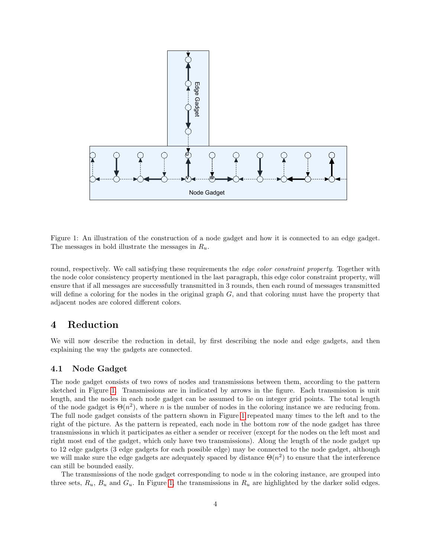

<span id="page-3-1"></span>Figure 1: An illustration of the construction of a node gadget and how it is connected to an edge gadget. The messages in bold illustrate the messages in  $R_u$ .

round, respectively. We call satisfying these requirements the *edge color constraint property*. Together with the node color consistency property mentioned in the last paragraph, this edge color constraint property, will ensure that if all messages are successfully transmitted in 3 rounds, then each round of messages transmitted will define a coloring for the nodes in the original graph G, and that coloring must have the property that adjacent nodes are colored different colors.

# <span id="page-3-0"></span>4 Reduction

We will now describe the reduction in detail, by first describing the node and edge gadgets, and then explaining the way the gadgets are connected.

### 4.1 Node Gadget

The node gadget consists of two rows of nodes and transmissions between them, according to the pattern sketched in Figure [1.](#page-3-1) Transmissions are in indicated by arrows in the figure. Each transmission is unit length, and the nodes in each node gadget can be assumed to lie on integer grid points. The total length of the node gadget is  $\Theta(n^2)$ , where n is the number of nodes in the coloring instance we are reducing from. The full node gadget consists of the pattern shown in Figure [1](#page-3-1) repeated many times to the left and to the right of the picture. As the pattern is repeated, each node in the bottom row of the node gadget has three transmissions in which it participates as either a sender or receiver (except for the nodes on the left most and right most end of the gadget, which only have two transmissions). Along the length of the node gadget up to 12 edge gadgets (3 edge gadgets for each possible edge) may be connected to the node gadget, although we will make sure the edge gadgets are adequately spaced by distance  $\Theta(n^2)$  to ensure that the interference can still be bounded easily.

The transmissions of the node gadget corresponding to node  $u$  in the coloring instance, are grouped into three sets,  $R_u$ ,  $B_u$  and  $G_u$ . In Figure [1,](#page-3-1) the transmissions in  $R_u$  are highlighted by the darker solid edges.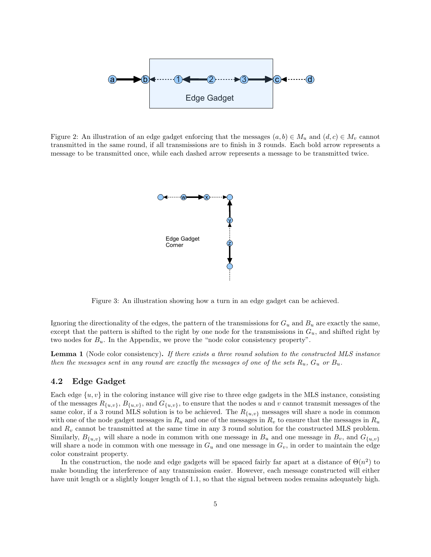

<span id="page-4-0"></span>Figure 2: An illustration of an edge gadget enforcing that the messages  $(a, b) \in M_u$  and  $(d, c) \in M_v$  cannot transmitted in the same round, if all transmissions are to finish in 3 rounds. Each bold arrow represents a message to be transmitted once, while each dashed arrow represents a message to be transmitted twice.



<span id="page-4-1"></span>Figure 3: An illustration showing how a turn in an edge gadget can be achieved.

Ignoring the directionality of the edges, the pattern of the transmissions for  $G_u$  and  $B_u$  are exactly the same, except that the pattern is shifted to the right by one node for the transmissions in  $G_u$ , and shifted right by two nodes for  $B_u$ . In the Appendix, we prove the "node color consistency property".

Lemma 1 (Node color consistency). If there exists a three round solution to the constructed MLS instance then the messages sent in any round are exactly the messages of one of the sets  $R_u$ ,  $G_u$  or  $B_u$ .

#### 4.2 Edge Gadget

Each edge  $\{u, v\}$  in the coloring instance will give rise to three edge gadgets in the MLS instance, consisting of the messages  $R_{\{u,v\}}$ ,  $B_{\{u,v\}}$ , and  $G_{\{u,v\}}$ , to ensure that the nodes u and v cannot transmit messages of the same color, if a 3 round MLS solution is to be achieved. The  $R_{\{u,v\}}$  messages will share a node in common with one of the node gadget messages in  $R_u$  and one of the messages in  $R_v$  to ensure that the messages in  $R_u$ and  $R_v$  cannot be transmitted at the same time in any 3 round solution for the constructed MLS problem. Similarly,  $B_{\{u,v\}}$  will share a node in common with one message in  $B_u$  and one message in  $B_v$ , and  $G_{\{u,v\}}$ will share a node in common with one message in  $G_u$  and one message in  $G_v$ , in order to maintain the edge color constraint property.

In the construction, the node and edge gadgets will be spaced fairly far apart at a distance of  $\Theta(n^2)$  to make bounding the interference of any transmission easier. However, each message constructed will either have unit length or a slightly longer length of 1.1, so that the signal between nodes remains adequately high.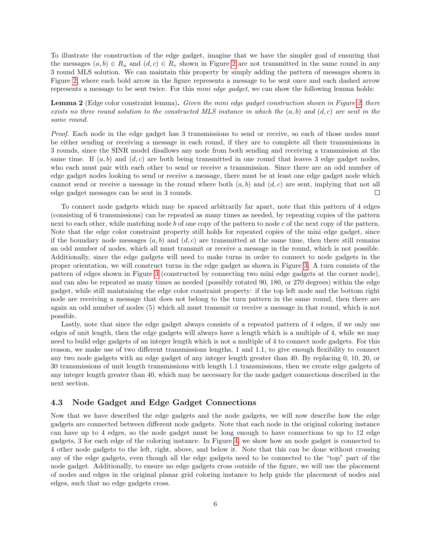To illustrate the construction of the edge gadget, imagine that we have the simpler goal of ensuring that the messages  $(a, b) \in R_u$  and  $(d, c) \in R_v$  shown in Figure [2](#page-4-0) are not transmitted in the same round in any 3 round MLS solution. We can maintain this property by simply adding the pattern of messages shown in Figure [2,](#page-4-0) where each bold arrow in the figure represents a message to be sent once and each dashed arrow represents a message to be sent twice. For this *mini edge gadget*, we can show the following lemma holds:

Lemma 2 (Edge color constraint lemma). Given the mini edge gadget construction shown in Figure [2,](#page-4-0) there exists no three round solution to the constructed MLS instance in which the  $(a, b)$  and  $(d, c)$  are sent in the same round.

Proof. Each node in the edge gadget has 3 transmissions to send or receive, so each of those nodes must be either sending or receiving a message in each round, if they are to complete all their transmissions in 3 rounds, since the SINR model disallows any node from both sending and receiving a transmission at the same time. If  $(a, b)$  and  $(d, c)$  are both being transmitted in one round that leaves 3 edge gadget nodes, who each must pair with each other to send or receive a transmission. Since there are an odd number of edge gadget nodes looking to send or receive a message, there must be at least one edge gadget node which cannot send or receive a message in the round where both  $(a, b)$  and  $(d, c)$  are sent, implying that not all edge gadget messages can be sent in 3 rounds.  $\Box$ 

To connect node gadgets which may be spaced arbitrarily far apart, note that this pattern of 4 edges (consisting of 6 transmissions) can be repeated as many times as needed, by repeating copies of the pattern next to each other, while matching node b of one copy of the pattern to node c of the next copy of the pattern. Note that the edge color constraint property still holds for repeated copies of the mini edge gadget, since if the boundary node messages  $(a, b)$  and  $(d, c)$  are transmitted at the same time, then there still remains an odd number of nodes, which all must transmit or receive a message in the round, which is not possible. Additionally, since the edge gadgets will need to make turns in order to connect to node gadgets in the proper orientation, we will construct turns in the edge gadget as shown in Figure [3.](#page-4-1) A turn consists of the pattern of edges shown in Figure [3](#page-4-1) (constructed by connecting two mini edge gadgets at the corner node), and can also be repeated as many times as needed (possibly rotated 90, 180, or 270 degrees) within the edge gadget, while still maintaining the edge color constraint property: if the top left node and the bottom right node are receiving a message that does not belong to the turn pattern in the same round, then there are again an odd number of nodes (5) which all must transmit or receive a message in that round, which is not possible.

Lastly, note that since the edge gadget always consists of a repeated pattern of 4 edges, if we only use edges of unit length, then the edge gadgets will always have a length which is a multiple of 4, while we may need to build edge gadgets of an integer length which is not a multiple of 4 to connect node gadgets. For this reason, we make use of two different transmissions lengths, 1 and 1.1, to give enough flexibility to connect any two node gadgets with an edge gadget of any integer length greater than 40. By replacing 0, 10, 20, or 30 transmissions of unit length transmissions with length 1.1 transmissions, then we create edge gadgets of any integer length greater than 40, which may be necessary for the node gadget connections described in the next section.

### 4.3 Node Gadget and Edge Gadget Connections

Now that we have described the edge gadgets and the node gadgets, we will now describe how the edge gadgets are connected between different node gadgets. Note that each node in the original coloring instance can have up to 4 edges, so the node gadget must be long enough to have connections to up to 12 edge gadgets, 3 for each edge of the coloring instance. In Figure [4,](#page-6-0) we show how an node gadget is connected to 4 other node gadgets to the left, right, above, and below it. Note that this can be done without crossing any of the edge gadgets, even though all the edge gadgets need to be connected to the "top" part of the node gadget. Additionally, to ensure no edge gadgets cross outside of the figure, we will use the placement of nodes and edges in the original planar grid coloring instance to help guide the placement of nodes and edges, such that no edge gadgets cross.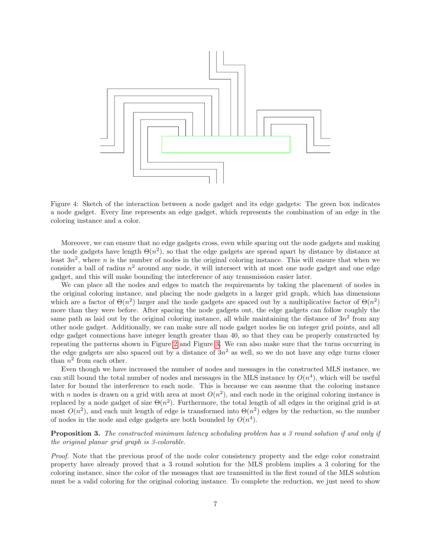

<span id="page-6-0"></span>Figure 4: Sketch of the interaction between a node gadget and its edge gadgets: The green box indicates a node gadget. Every line represents an edge gadget, which represents the combination of an edge in the coloring instance and a color.

Moreover, we can ensure that no edge gadgets cross, even while spacing out the node gadgets and making the node gadgets have length  $\Theta(n^2)$ , so that the edge gadgets are spread apart by distance by distance at least  $3n^2$ , where n is the number of nodes in the original coloring instance. This will ensure that when we consider a ball of radius  $n^2$  around any node, it will intersect with at most one node gadget and one edge gadget, and this will make bounding the interference of any transmission easier later.

We can place all the nodes and edges to match the requirements by taking the placement of nodes in the original coloring instance, and placing the node gadgets in a larger grid graph, which has dimensions which are a factor of  $\Theta(n^2)$  larger and the node gadgets are spaced out by a multiplicative factor of  $\Theta(n^2)$ more than they were before. After spacing the node gadgets out, the edge gadgets can follow roughly the same path as laid out by the original coloring instance, all while maintaining the distance of  $3n^2$  from any other node gadget. Additionally, we can make sure all node gadget nodes lie on integer grid points, and all edge gadget connections have integer length greater than 40, so that they can be properly constructed by repeating the patterns shown in Figure [2](#page-4-0) and Figure [3.](#page-4-1) We can also make sure that the turns occurring in the edge gadgets are also spaced out by a distance of  $3n^2$  as well, so we do not have any edge turns closer than  $n^2$  from each other.

Even though we have increased the number of nodes and messages in the constructed MLS instance, we can still bound the total number of nodes and messages in the MLS instance by  $O(n^4)$ , which will be useful later for bound the interference to each node. This is because we can assume that the coloring instance with n nodes is drawn on a grid with area at most  $O(n^2)$ , and each node in the original coloring instance is replaced by a node gadget of size  $\Theta(n^2)$ . Furthermore, the total length of all edges in the original grid is at most  $O(n^2)$ , and each unit length of edge is transformed into  $\Theta(n^2)$  edges by the reduction, so the number of nodes in the node and edge gadgets are both bounded by  $O(n^4)$ .

**Proposition 3.** The constructed minimum latency scheduling problem has a 3 round solution if and only if the original planar grid graph is 3-colorable.

Proof. Note that the previous proof of the node color consistency property and the edge color constraint property have already proved that a 3 round solution for the MLS problem implies a 3 coloring for the coloring instance, since the color of the messages that are transmitted in the first round of the MLS solution must be a valid coloring for the original coloring instance. To complete the reduction, we just need to show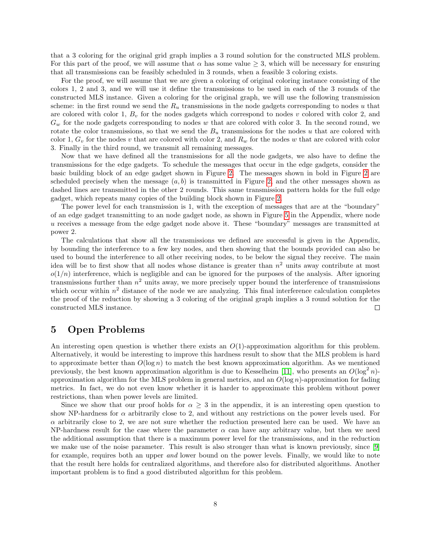that a 3 coloring for the original grid graph implies a 3 round solution for the constructed MLS problem. For this part of the proof, we will assume that  $\alpha$  has some value  $\geq 3$ , which will be necessary for ensuring that all transmissions can be feasibly scheduled in 3 rounds, when a feasible 3 coloring exists.

For the proof, we will assume that we are given a coloring of original coloring instance consisting of the colors 1, 2 and 3, and we will use it define the transmissions to be used in each of the 3 rounds of the constructed MLS instance. Given a coloring for the original graph, we will use the following transmission scheme: in the first round we send the  $R_u$  transmissions in the node gadgets corresponding to nodes u that are colored with color 1,  $B_v$  for the nodes gadgets which correspond to nodes v colored with color 2, and  $G_w$  for the node gadgets corresponding to nodes w that are colored with color 3. In the second round, we rotate the color transmissions, so that we send the  $B_u$  transmissions for the nodes u that are colored with color 1,  $G_v$  for the nodes v that are colored with color 2, and  $R_w$  for the nodes w that are colored with color 3. Finally in the third round, we transmit all remaining messages.

Now that we have defined all the transmissions for all the node gadgets, we also have to define the transmissions for the edge gadgets. To schedule the messages that occur in the edge gadgets, consider the basic building block of an edge gadget shown in Figure [2.](#page-4-0) The messages shown in bold in Figure [2](#page-4-0) are scheduled precisely when the message  $(a, b)$  is transmitted in Figure [2,](#page-4-0) and the other messages shown as dashed lines are transmitted in the other 2 rounds. This same transmission pattern holds for the full edge gadget, which repeats many copies of the building block shown in Figure [2.](#page-4-0)

The power level for each transmission is 1, with the exception of messages that are at the "boundary" of an edge gadget transmitting to an node gadget node, as shown in Figure [5](#page-10-0) in the Appendix, where node u receives a message from the edge gadget node above it. These "boundary" messages are transmitted at power 2.

The calculations that show all the transmissions we defined are successful is given in the Appendix, by bounding the interference to a few key nodes, and then showing that the bounds provided can also be used to bound the interference to all other receiving nodes, to be below the signal they receive. The main idea will be to first show that all nodes whose distance is greater than  $n^2$  units away contribute at most  $o(1/n)$  interference, which is negligible and can be ignored for the purposes of the analysis. After ignoring transmissions further than  $n^2$  units away, we more precisely upper bound the interference of transmissions which occur within  $n^2$  distance of the node we are analyzing. This final interference calculation completes the proof of the reduction by showing a 3 coloring of the original graph implies a 3 round solution for the constructed MLS instance.  $\Box$ 

## <span id="page-7-0"></span>5 Open Problems

An interesting open question is whether there exists an  $O(1)$ -approximation algorithm for this problem. Alternatively, it would be interesting to improve this hardness result to show that the MLS problem is hard to approximate better than  $O(\log n)$  to match the best known approximation algorithm. As we mentioned previously, the best known approximation algorithm is due to Kesselheim [\[11\]](#page-8-10), who presents an  $O(\log^2 n)$ approximation algorithm for the MLS problem in general metrics, and an  $O(\log n)$ -approximation for fading metrics. In fact, we do not even know whether it is harder to approximate this problem without power restrictions, than when power levels are limited.

Since we show that our proof holds for  $\alpha \geq 3$  in the appendix, it is an interesting open question to show NP-hardness for  $\alpha$  arbitrarily close to 2, and without any restrictions on the power levels used. For  $\alpha$  arbitrarily close to 2, we are not sure whether the reduction presented here can be used. We have an NP-hardness result for the case where the parameter  $\alpha$  can have any arbitrary value, but then we need the additional assumption that there is a maximum power level for the transmissions, and in the reduction we make use of the noise parameter. This result is also stronger than what is known previously, since [\[9\]](#page-8-4) for example, requires both an upper and lower bound on the power levels. Finally, we would like to note that the result here holds for centralized algorithms, and therefore also for distributed algorithms. Another important problem is to find a good distributed algorithm for this problem.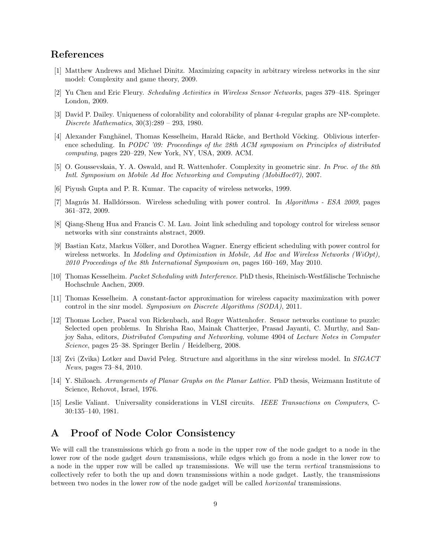# References

- <span id="page-8-3"></span>[1] Matthew Andrews and Michael Dinitz. Maximizing capacity in arbitrary wireless networks in the sinr model: Complexity and game theory, 2009.
- <span id="page-8-9"></span>[2] Yu Chen and Eric Fleury. Scheduling Activities in Wireless Sensor Networks, pages 379–418. Springer London, 2009.
- <span id="page-8-12"></span>[3] David P. Dailey. Uniqueness of colorability and colorability of planar 4-regular graphs are NP-complete. Discrete Mathematics, 30(3):289 – 293, 1980.
- <span id="page-8-5"></span>[4] Alexander Fanghänel, Thomas Kesselheim, Harald Räcke, and Berthold Vöcking. Oblivious interference scheduling. In PODC '09: Proceedings of the 28th ACM symposium on Principles of distributed computing, pages 220–229, New York, NY, USA, 2009. ACM.
- <span id="page-8-2"></span>[5] O. Goussevskaia, Y. A. Oswald, and R. Wattenhofer. Complexity in geometric sinr. In Proc. of the 8th Intl. Symposium on Mobile Ad Hoc Networking and Computing (MobiHoc07), 2007.
- <span id="page-8-1"></span>[6] Piyush Gupta and P. R. Kumar. The capacity of wireless networks, 1999.
- <span id="page-8-11"></span>[7] Magnús M. Halldórsson. Wireless scheduling with power control. In Algorithms - ESA 2009, pages 361–372, 2009.
- <span id="page-8-7"></span>[8] Qiang-Sheng Hua and Francis C. M. Lau. Joint link scheduling and topology control for wireless sensor networks with sinr constraints abstract, 2009.
- <span id="page-8-4"></span>[9] Bastian Katz, Markus Völker, and Dorothea Wagner. Energy efficient scheduling with power control for wireless networks. In Modeling and Optimization in Mobile, Ad Hoc and Wireless Networks (WiOpt), 2010 Proceedings of the 8th International Symposium on, pages 160–169, May 2010.
- <span id="page-8-6"></span>[10] Thomas Kesselheim. *Packet Scheduling with Interference*. PhD thesis, Rheinisch-Westfälische Technische Hochschule Aachen, 2009.
- <span id="page-8-10"></span>[11] Thomas Kesselheim. A constant-factor approximation for wireless capacity maximization with power control in the sinr model. Symposium on Discrete Algorithms (SODA), 2011.
- <span id="page-8-0"></span>[12] Thomas Locher, Pascal von Rickenbach, and Roger Wattenhofer. Sensor networks continue to puzzle: Selected open problems. In Shrisha Rao, Mainak Chatterjee, Prasad Jayanti, C. Murthy, and Sanjoy Saha, editors, Distributed Computing and Networking, volume 4904 of Lecture Notes in Computer Science, pages 25–38. Springer Berlin / Heidelberg, 2008.
- <span id="page-8-8"></span>[13] Zvi (Zvika) Lotker and David Peleg. Structure and algorithms in the sinr wireless model. In SIGACT News, pages 73–84, 2010.
- <span id="page-8-13"></span>[14] Y. Shiloach. Arrangements of Planar Graphs on the Planar Lattice. PhD thesis, Weizmann Institute of Science, Rehovot, Israel, 1976.
- <span id="page-8-14"></span>[15] Leslie Valiant. Universality considerations in VLSI circuits. IEEE Transactions on Computers, C-30:135–140, 1981.

# A Proof of Node Color Consistency

We will call the transmissions which go from a node in the upper row of the node gadget to a node in the lower row of the node gadget *down* transmissions, while edges which go from a node in the lower row to a node in the upper row will be called up transmissions. We will use the term vertical transmissions to collectively refer to both the up and down transmissions within a node gadget. Lastly, the transmissions between two nodes in the lower row of the node gadget will be called horizontal transmissions.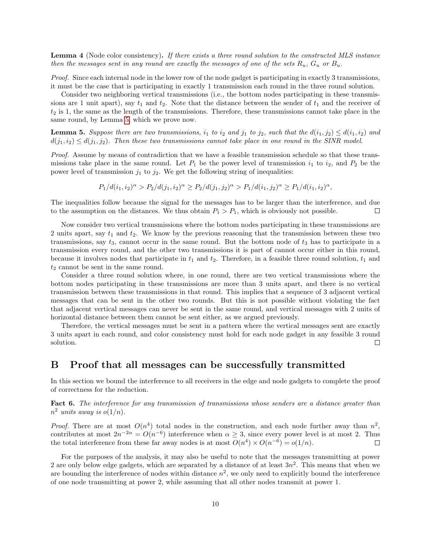Lemma 4 (Node color consistency). If there exists a three round solution to the constructed MLS instance then the messages sent in any round are exactly the messages of one of the sets  $R_u$ ,  $G_u$  or  $B_u$ .

Proof. Since each internal node in the lower row of the node gadget is participating in exactly 3 transmissions, it must be the case that is participating in exactly 1 transmission each round in the three round solution.

Consider two neighboring vertical transmissions (i.e., the bottom nodes participating in these transmissions are 1 unit apart), say  $t_1$  and  $t_2$ . Note that the distance between the sender of  $t_1$  and the receiver of  $t_2$  is 1, the same as the length of the transmissions. Therefore, these transmissions cannot take place in the same round, by Lemma [5,](#page-9-0) which we prove now.

<span id="page-9-0"></span>**Lemma 5.** Suppose there are two transmissions,  $i_1$  to  $i_2$  and  $j_1$  to  $j_2$ , such that the  $d(i_1, j_2) \leq d(i_1, i_2)$  and  $d(j_1, i_2) \leq d(j_1, j_2)$ . Then these two transmissions cannot take place in one round in the SINR model.

Proof. Assume by means of contradiction that we have a feasible transmission schedule so that these transmissions take place in the same round. Let  $P_1$  be the power level of transmission  $i_1$  to  $i_2$ , and  $P_2$  be the power level of transmission  $j_1$  to  $j_2$ . We get the following string of inequalities:

 $P_1/d(i_1,i_2)^{\alpha} > P_2/d(j_1,i_2)^{\alpha} \ge P_2/d(j_1,j_2)^{\alpha} > P_1/d(i_1,j_2)^{\alpha} \ge P_1/d(i_1,i_2)^{\alpha},$ 

The inequalities follow because the signal for the messages has to be larger than the interference, and due to the assumption on the distances. We thus obtain  $P_1 > P_1$ , which is obviously not possible. □

Now consider two vertical transmissions where the bottom nodes participating in these transmissions are 2 units apart, say  $t_1$  and  $t_2$ . We know by the previous reasoning that the transmission between these two transmissions, say  $t_3$ , cannot occur in the same round. But the bottom node of  $t_3$  has to participate in a transmission every round, and the other two transmissions it is part of cannot occur either in this round, because it involves nodes that participate in  $t_1$  and  $t_2$ . Therefore, in a feasible three round solution,  $t_1$  and  $t_2$  cannot be sent in the same round.

Consider a three round solution where, in one round, there are two vertical transmissions where the bottom nodes participating in these transmissions are more than 3 units apart, and there is no vertical transmission between these transmissions in that round. This implies that a sequence of 3 adjacent vertical messages that can be sent in the other two rounds. But this is not possible without violating the fact that adjacent vertical messages can never be sent in the same round, and vertical messages with 2 units of horizontal distance between them cannot be sent either, as we argued previously.

Therefore, the vertical messages must be sent in a pattern where the vertical messages sent are exactly 3 units apart in each round, and color consistency must hold for each node gadget in any feasible 3 round solution.  $\Box$ 

### B Proof that all messages can be successfully transmitted

In this section we bound the interference to all receivers in the edge and node gadgets to complete the proof of correctness for the reduction.

Fact 6. The interference for any transmission of transmissions whose senders are a distance greater than  $n^2$  units away is  $o(1/n)$ .

*Proof.* There are at most  $O(n^4)$  total nodes in the construction, and each node further away than  $n^2$ , contributes at most  $2n^{-2\alpha} = O(n^{-6})$  interference when  $\alpha \geq 3$ , since every power level is at most 2. Thus the total interference from these far away nodes is at most  $O(n^4) \times O(n^{-6}) = o(1/n)$ .  $\Box$ 

For the purposes of the analysis, it may also be useful to note that the messages transmitting at power 2 are only below edge gadgets, which are separated by a distance of at least  $3n^2$ . This means that when we are bounding the interference of nodes within distance  $n^2$ , we only need to explicitly bound the interference of one node transmitting at power 2, while assuming that all other nodes transmit at power 1.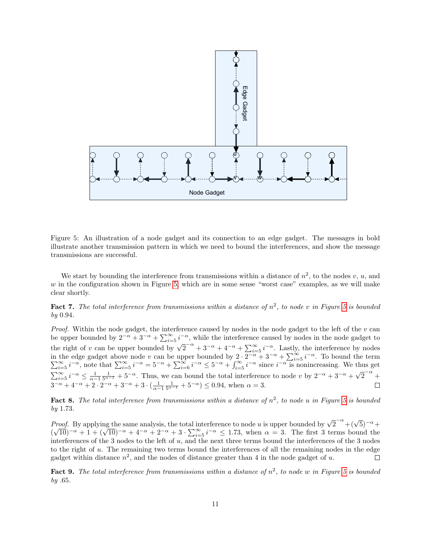

<span id="page-10-0"></span>Figure 5: An illustration of a node gadget and its connection to an edge gadget. The messages in bold illustrate another transmission pattern in which we need to bound the interferences, and show the message transmissions are successful.

We start by bounding the interference from transmissions within a distance of  $n^2$ , to the nodes v, u, and w in the configuration shown in Figure [5,](#page-10-0) which are in some sense "worst case" examples, as we will make clear shortly.

<span id="page-10-2"></span>**Fact 7.** The total interference from transmissions within a distance of  $n^2$ , to node v in Figure [5](#page-10-0) is bounded by 0.94.

*Proof.* Within the node gadget, the interference caused by nodes in the node gadget to the left of the  $v$  can be upper bounded by  $2^{-\alpha} + 3^{-\alpha} + \sum_{i=5}^{\infty} i^{-\alpha}$ , while the interference caused by nodes in the node gadget to the right of v can be upper bounded by  $\sqrt{2}^{-\alpha} + 3^{-\alpha} + 4^{-\alpha} + \sum_{i=5}^{\infty} i^{-\alpha}$ . Lastly, the interference by nodes in the edge gadget above node v can be upper bounded by  $2 \cdot 2^{-\alpha} + 3^{-\alpha} + \sum_{i=5}^{\infty} i^{-\alpha}$  $\sum$ the edge gadget above node v can be upper bounded by  $2 \cdot 2^{-\alpha} + 3^{-\alpha} + \sum_{i=5}^{\infty} i^{-\alpha}$ . To bound the term  $\sum_{i=5}^{\infty} i^{-\alpha}$ , note that  $\sum_{i=5}^{\infty} i^{-\alpha} = 5^{-\alpha} + \sum_{i=6}^{\infty} i^{-\alpha} \le 5^{-\alpha} + \int_{i=5}^{\infty} i^{-\alpha}$  since  $i^{-\$  $\sum_{i=5}^{\infty}$  is  $\sum_{i=5}^{\infty}$  interference to node v by  $2^{-\alpha}$  +  $3^{-\alpha}$  +  $\sqrt{\frac{2^{i}}{i}}$  is  $\sum_{i=5}^{\infty}$  is  $\frac{1}{i}$  is  $\frac{1}{i}$  is  $\frac{1}{i}$  is  $\frac{1}{i}$  is  $\frac{1}{i}$  is  $\frac{1}{i}$  is  $\frac{1}{i}$  is  $\frac{1}{i}$  is  $\$  $2^{-\alpha}$  +  $3^{-\alpha} + 4^{-\alpha} + 2 \cdot 2^{-\alpha} + 3^{-\alpha} + 3 \cdot (\frac{1}{\alpha - 1} \frac{1}{5^{\alpha - 1}} + 5^{-\alpha}) \le 0.94$ , when  $\alpha = 3$ .

<span id="page-10-3"></span>**Fact 8.** The total interference from transmissions within a distance of  $n^2$ , to node u in Figure [5](#page-10-0) is bounded by 1.73.

*Proof.* By applying the same analysis, the total interference to node u is upper bounded by  $\sqrt{2}^{-\alpha} + (\sqrt{5})^{-\alpha} +$  $\sqrt{10}$  –  $\alpha$  + 1 +  $(\sqrt{10})^{-\alpha}$  + 4<sup>- $\alpha$ </sup> + 2<sup>- $\alpha$ </sup> + 3 ·  $\sum_{i=5}^{\infty} i^{-\alpha} \leq 1.73$ , when  $\alpha = 3$ . The first 3 terms bound the ( interferences of the 3 nodes to the left of u, and the next three terms bound the interferences of the 3 nodes to the right of u. The remaining two terms bound the interferences of all the remaining nodes in the edge gadget within distance  $n^2$ , and the nodes of distance greater than 4 in the node gadget of u.  $\Box$ 

<span id="page-10-1"></span>Fact 9. The total interference from transmissions within a distance of  $n^2$ , to node w in Figure [5](#page-10-0) is bounded  $by.65.$